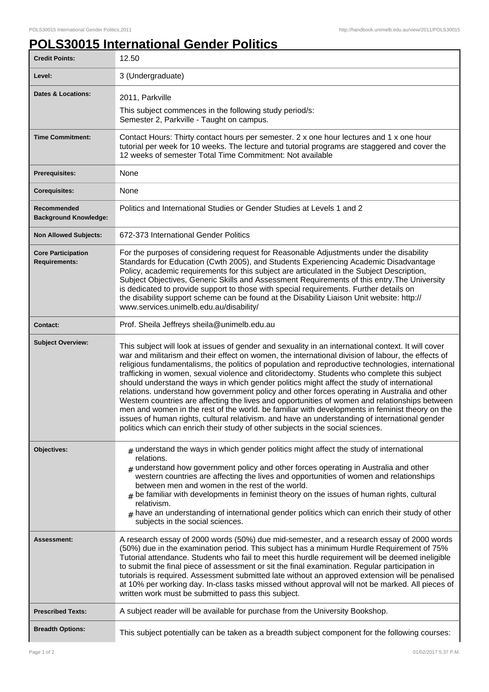ı

## **POLS30015 International Gender Politics**

| <b>Credit Points:</b>                             | 12.50                                                                                                                                                                                                                                                                                                                                                                                                                                                                                                                                                                                                                                                                                                                                                                                                                                                                                                                                                                                                     |
|---------------------------------------------------|-----------------------------------------------------------------------------------------------------------------------------------------------------------------------------------------------------------------------------------------------------------------------------------------------------------------------------------------------------------------------------------------------------------------------------------------------------------------------------------------------------------------------------------------------------------------------------------------------------------------------------------------------------------------------------------------------------------------------------------------------------------------------------------------------------------------------------------------------------------------------------------------------------------------------------------------------------------------------------------------------------------|
| Level:                                            | 3 (Undergraduate)                                                                                                                                                                                                                                                                                                                                                                                                                                                                                                                                                                                                                                                                                                                                                                                                                                                                                                                                                                                         |
| Dates & Locations:                                | 2011, Parkville                                                                                                                                                                                                                                                                                                                                                                                                                                                                                                                                                                                                                                                                                                                                                                                                                                                                                                                                                                                           |
|                                                   | This subject commences in the following study period/s:<br>Semester 2, Parkville - Taught on campus.                                                                                                                                                                                                                                                                                                                                                                                                                                                                                                                                                                                                                                                                                                                                                                                                                                                                                                      |
| <b>Time Commitment:</b>                           | Contact Hours: Thirty contact hours per semester. 2 x one hour lectures and 1 x one hour<br>tutorial per week for 10 weeks. The lecture and tutorial programs are staggered and cover the<br>12 weeks of semester Total Time Commitment: Not available                                                                                                                                                                                                                                                                                                                                                                                                                                                                                                                                                                                                                                                                                                                                                    |
| <b>Prerequisites:</b>                             | None                                                                                                                                                                                                                                                                                                                                                                                                                                                                                                                                                                                                                                                                                                                                                                                                                                                                                                                                                                                                      |
| <b>Corequisites:</b>                              | None                                                                                                                                                                                                                                                                                                                                                                                                                                                                                                                                                                                                                                                                                                                                                                                                                                                                                                                                                                                                      |
| Recommended<br><b>Background Knowledge:</b>       | Politics and International Studies or Gender Studies at Levels 1 and 2                                                                                                                                                                                                                                                                                                                                                                                                                                                                                                                                                                                                                                                                                                                                                                                                                                                                                                                                    |
| <b>Non Allowed Subjects:</b>                      | 672-373 International Gender Politics                                                                                                                                                                                                                                                                                                                                                                                                                                                                                                                                                                                                                                                                                                                                                                                                                                                                                                                                                                     |
| <b>Core Participation</b><br><b>Requirements:</b> | For the purposes of considering request for Reasonable Adjustments under the disability<br>Standards for Education (Cwth 2005), and Students Experiencing Academic Disadvantage<br>Policy, academic requirements for this subject are articulated in the Subject Description,<br>Subject Objectives, Generic Skills and Assessment Requirements of this entry. The University<br>is dedicated to provide support to those with special requirements. Further details on<br>the disability support scheme can be found at the Disability Liaison Unit website: http://<br>www.services.unimelb.edu.au/disability/                                                                                                                                                                                                                                                                                                                                                                                          |
| <b>Contact:</b>                                   | Prof. Sheila Jeffreys sheila@unimelb.edu.au                                                                                                                                                                                                                                                                                                                                                                                                                                                                                                                                                                                                                                                                                                                                                                                                                                                                                                                                                               |
| <b>Subject Overview:</b>                          | This subject will look at issues of gender and sexuality in an international context. It will cover<br>war and militarism and their effect on women, the international division of labour, the effects of<br>religious fundamentalisms, the politics of population and reproductive technologies, international<br>trafficking in women, sexual violence and clitoridectomy. Students who complete this subject<br>should understand the ways in which gender politics might affect the study of international<br>relations. understand how government policy and other forces operating in Australia and other<br>Western countries are affecting the lives and opportunities of women and relationships between<br>men and women in the rest of the world. be familiar with developments in feminist theory on the<br>issues of human rights, cultural relativism. and have an understanding of international gender<br>politics which can enrich their study of other subjects in the social sciences. |
| Objectives:                                       | $*$ understand the ways in which gender politics might affect the study of international<br>relations.<br>$#$ understand how government policy and other forces operating in Australia and other<br>western countries are affecting the lives and opportunities of women and relationships<br>between men and women in the rest of the world.<br>$#$ be familiar with developments in feminist theory on the issues of human rights, cultural<br>relativism.<br>$#$ have an understanding of international gender politics which can enrich their study of other<br>subjects in the social sciences.                                                                                                                                                                                                                                                                                                                                                                                                      |
| Assessment:                                       | A research essay of 2000 words (50%) due mid-semester, and a research essay of 2000 words<br>(50%) due in the examination period. This subject has a minimum Hurdle Requirement of 75%<br>Tutorial attendance. Students who fail to meet this hurdle requirement will be deemed ineligible<br>to submit the final piece of assessment or sit the final examination. Regular participation in<br>tutorials is required. Assessment submitted late without an approved extension will be penalised<br>at 10% per working day. In-class tasks missed without approval will not be marked. All pieces of<br>written work must be submitted to pass this subject.                                                                                                                                                                                                                                                                                                                                              |
| <b>Prescribed Texts:</b>                          | A subject reader will be available for purchase from the University Bookshop.                                                                                                                                                                                                                                                                                                                                                                                                                                                                                                                                                                                                                                                                                                                                                                                                                                                                                                                             |
| <b>Breadth Options:</b>                           | This subject potentially can be taken as a breadth subject component for the following courses:                                                                                                                                                                                                                                                                                                                                                                                                                                                                                                                                                                                                                                                                                                                                                                                                                                                                                                           |